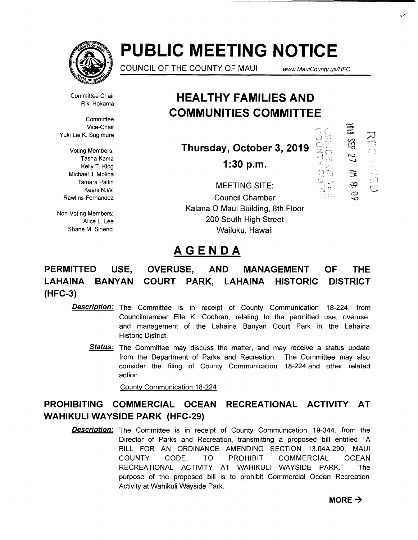

# **PUBLIC MEETING NOTICE**

COUNCIL OF THE COUNTY OF MAUI

www.MauiCounty.us/HFC

 $\Xi$ 

 $\frac{1}{2}$ 

œ

Ò

m, p

 $\sim 3$ 

 $\frac{1}{113}$ 

Committee Chair Riki Hokama

**Committee** Vice-Chair Yuki Lei K. Sugimura

Voting Members: Tasha Kama Kelly T. King Michael J. Molina Tamara Paltin Keani N.W. Rawlins-Fernandez

Non-Voting Members: Alice L. Lee Shane M. Sinenci

## **HEAL THY FAMILIES AND COMMUNITIES COMMITTEE**

**Thursday, October 3, 2019** 

**1:30 p.m.** 

MEETING SITE: Council Chamber Kalana 0 Maui Building, 8th Floor 200 South High Street Wailuku, Hawaii

### **AGENDA**

#### **PERMITTED USE, LAHAINA BANYAN (HFC-3) OVERUSE, AND MANAGEMENT COURT PARK, LAHAINA HISTORIC OF THE DISTRICT**

- Description: The Committee is in receipt of County Communication 18-224, from Councilmember Elle K. Cochran, relating to the permitted use, overuse, and management of the Lahaina Banyan Court Park in the Lahaina Historic District.
	- Status: The Committee may discuss the matter, and may receive a status update from the Department of Parks and Recreation. The Committee may also consider the filing of County Communication 18-224 and other related action.

Countv Communication 18-224

### **PROHIBITING COMMERCIAL OCEAN RECREATIONAL ACTIVITY AT WAHIKULI WAYSIDE PARK (HFC-29)**

**Description:** The Committee is in receipt of County Communication 19-344, from the Director of Parks and Recreation, transmitting a proposed bill entitled "A BILL FOR AN ORDINANCE AMENDING SECTION 13.04A.290, MAUl COUNTY CODE, TO PROHIBIT COMMERCIAL OCEAN RECREATIONAL ACTIVITY AT WAHIKULI WAYSIDE PARK." The purpose of the proposed bill is to prohibit Commercial Ocean Recreation Activity at Wahikuli Wayside Park.